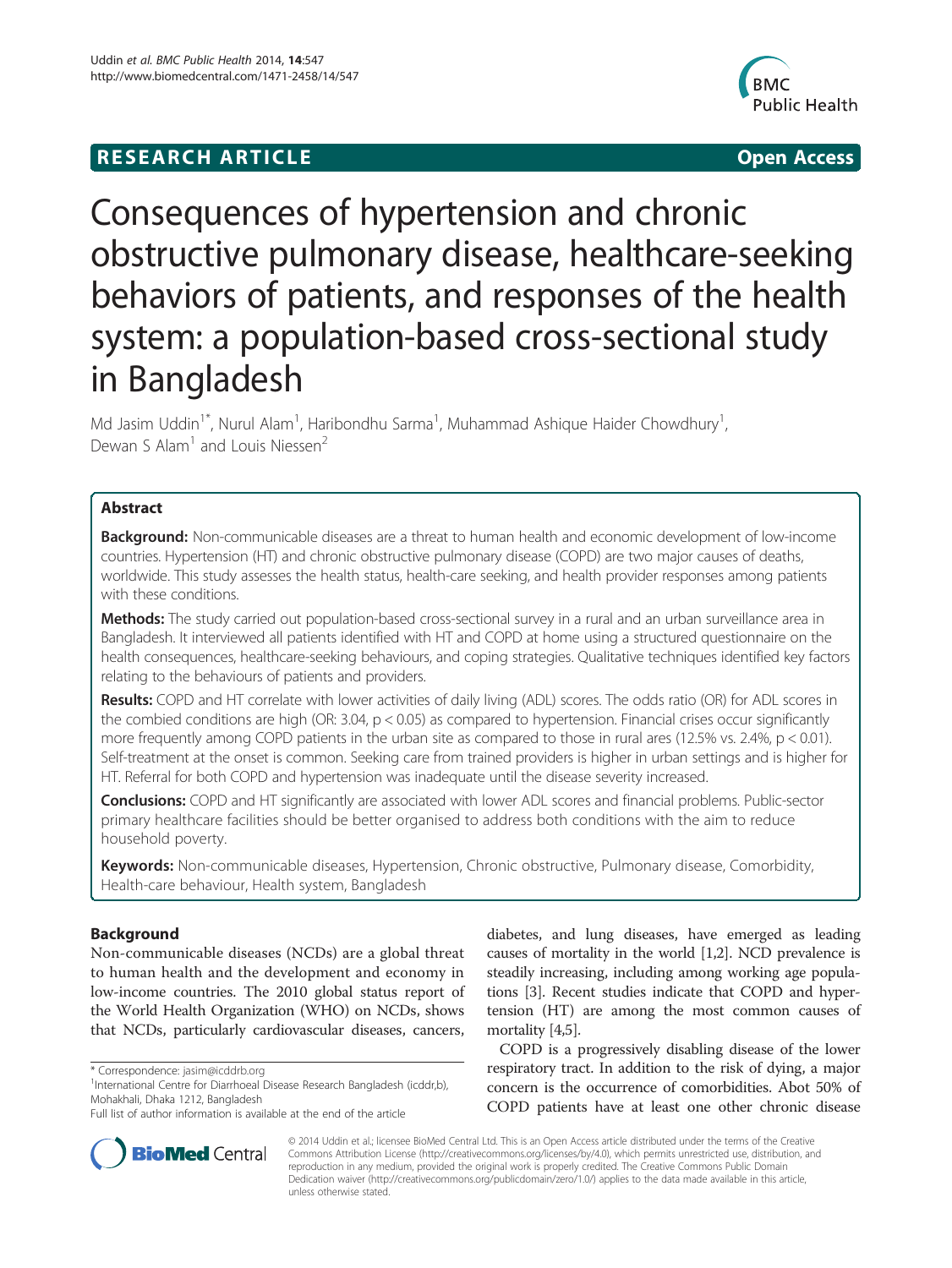# **RESEARCH ARTICLE Example 2014 12:30 The SEAR CHIPS 2014 12:30 The Open Access**



# Consequences of hypertension and chronic obstructive pulmonary disease, healthcare-seeking behaviors of patients, and responses of the health system: a population-based cross-sectional study in Bangladesh

Md Jasim Uddin<sup>1\*</sup>, Nurul Alam<sup>1</sup>, Haribondhu Sarma<sup>1</sup>, Muhammad Ashique Haider Chowdhury<sup>1</sup> , Dewan S Alam<sup>1</sup> and Louis Niessen<sup>2</sup>

# Abstract

**Background:** Non-communicable diseases are a threat to human health and economic development of low-income countries. Hypertension (HT) and chronic obstructive pulmonary disease (COPD) are two major causes of deaths, worldwide. This study assesses the health status, health-care seeking, and health provider responses among patients with these conditions.

Methods: The study carried out population-based cross-sectional survey in a rural and an urban surveillance area in Bangladesh. It interviewed all patients identified with HT and COPD at home using a structured questionnaire on the health consequences, healthcare-seeking behaviours, and coping strategies. Qualitative techniques identified key factors relating to the behaviours of patients and providers.

Results: COPD and HT correlate with lower activities of daily living (ADL) scores. The odds ratio (OR) for ADL scores in the combied conditions are high (OR: 3.04, p < 0.05) as compared to hypertension. Financial crises occur significantly more frequently among COPD patients in the urban site as compared to those in rural ares (12.5% vs. 2.4%,  $p < 0.01$ ). Self-treatment at the onset is common. Seeking care from trained providers is higher in urban settings and is higher for HT. Referral for both COPD and hypertension was inadequate until the disease severity increased.

Conclusions: COPD and HT significantly are associated with lower ADL scores and financial problems. Public-sector primary healthcare facilities should be better organised to address both conditions with the aim to reduce household poverty.

Keywords: Non-communicable diseases, Hypertension, Chronic obstructive, Pulmonary disease, Comorbidity, Health-care behaviour, Health system, Bangladesh

# Background

Non-communicable diseases (NCDs) are a global threat to human health and the development and economy in low-income countries. The 2010 global status report of the World Health Organization (WHO) on NCDs, shows that NCDs, particularly cardiovascular diseases, cancers,



COPD is a progressively disabling disease of the lower respiratory tract. In addition to the risk of dying, a major concern is the occurrence of comorbidities. Abot 50% of COPD patients have at least one other chronic disease



© 2014 Uddin et al.; licensee BioMed Central Ltd. This is an Open Access article distributed under the terms of the Creative Commons Attribution License [\(http://creativecommons.org/licenses/by/4.0\)](http://creativecommons.org/licenses/by/4.0), which permits unrestricted use, distribution, and reproduction in any medium, provided the original work is properly credited. The Creative Commons Public Domain Dedication waiver [\(http://creativecommons.org/publicdomain/zero/1.0/](http://creativecommons.org/publicdomain/zero/1.0/)) applies to the data made available in this article, unless otherwise stated.

<sup>\*</sup> Correspondence: [jasim@icddrb.org](mailto:jasim@icddrb.org) <sup>1</sup>

<sup>&</sup>lt;sup>1</sup>International Centre for Diarrhoeal Disease Research Bangladesh (icddr,b), Mohakhali, Dhaka 1212, Bangladesh

Full list of author information is available at the end of the article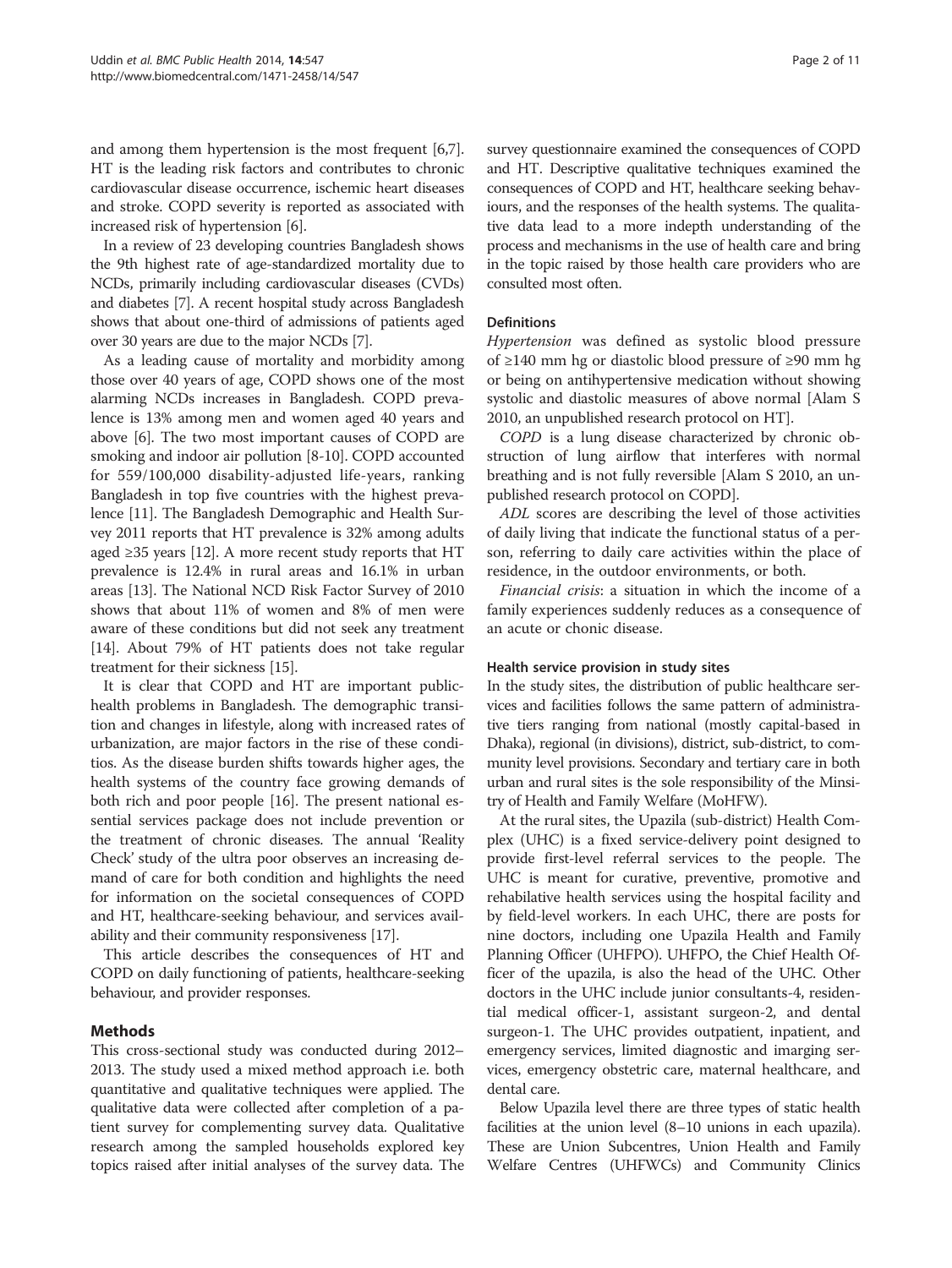and among them hypertension is the most frequent [[6](#page-9-0),[7](#page-9-0)]. HT is the leading risk factors and contributes to chronic cardiovascular disease occurrence, ischemic heart diseases and stroke. COPD severity is reported as associated with increased risk of hypertension [\[6\]](#page-9-0).

In a review of 23 developing countries Bangladesh shows the 9th highest rate of age-standardized mortality due to NCDs, primarily including cardiovascular diseases (CVDs) and diabetes [[7](#page-9-0)]. A recent hospital study across Bangladesh shows that about one-third of admissions of patients aged over 30 years are due to the major NCDs [\[7](#page-9-0)].

As a leading cause of mortality and morbidity among those over 40 years of age, COPD shows one of the most alarming NCDs increases in Bangladesh. COPD prevalence is 13% among men and women aged 40 years and above [[6\]](#page-9-0). The two most important causes of COPD are smoking and indoor air pollution [[8](#page-9-0)[-10\]](#page-10-0). COPD accounted for 559/100,000 disability-adjusted life-years, ranking Bangladesh in top five countries with the highest prevalence [[11](#page-10-0)]. The Bangladesh Demographic and Health Survey 2011 reports that HT prevalence is 32% among adults aged ≥35 years [\[12\]](#page-10-0). A more recent study reports that HT prevalence is 12.4% in rural areas and 16.1% in urban areas [\[13\]](#page-10-0). The National NCD Risk Factor Survey of 2010 shows that about 11% of women and 8% of men were aware of these conditions but did not seek any treatment [[14](#page-10-0)]. About 79% of HT patients does not take regular treatment for their sickness [[15](#page-10-0)].

It is clear that COPD and HT are important publichealth problems in Bangladesh. The demographic transition and changes in lifestyle, along with increased rates of urbanization, are major factors in the rise of these conditios. As the disease burden shifts towards higher ages, the health systems of the country face growing demands of both rich and poor people [[16\]](#page-10-0). The present national essential services package does not include prevention or the treatment of chronic diseases. The annual 'Reality Check' study of the ultra poor observes an increasing demand of care for both condition and highlights the need for information on the societal consequences of COPD and HT, healthcare-seeking behaviour, and services availability and their community responsiveness [\[17\]](#page-10-0).

This article describes the consequences of HT and COPD on daily functioning of patients, healthcare-seeking behaviour, and provider responses.

### Methods

This cross-sectional study was conducted during 2012– 2013. The study used a mixed method approach i.e. both quantitative and qualitative techniques were applied. The qualitative data were collected after completion of a patient survey for complementing survey data. Qualitative research among the sampled households explored key topics raised after initial analyses of the survey data. The

survey questionnaire examined the consequences of COPD and HT. Descriptive qualitative techniques examined the consequences of COPD and HT, healthcare seeking behaviours, and the responses of the health systems. The qualitative data lead to a more indepth understanding of the process and mechanisms in the use of health care and bring in the topic raised by those health care providers who are consulted most often.

#### Definitions

Hypertension was defined as systolic blood pressure of ≥140 mm hg or diastolic blood pressure of ≥90 mm hg or being on antihypertensive medication without showing systolic and diastolic measures of above normal [Alam S 2010, an unpublished research protocol on HT].

COPD is a lung disease characterized by chronic obstruction of lung airflow that interferes with normal breathing and is not fully reversible [Alam S 2010, an unpublished research protocol on COPD].

ADL scores are describing the level of those activities of daily living that indicate the functional status of a person, referring to daily care activities within the place of residence, in the outdoor environments, or both.

Financial crisis: a situation in which the income of a family experiences suddenly reduces as a consequence of an acute or chonic disease.

#### Health service provision in study sites

In the study sites, the distribution of public healthcare services and facilities follows the same pattern of administrative tiers ranging from national (mostly capital-based in Dhaka), regional (in divisions), district, sub-district, to community level provisions. Secondary and tertiary care in both urban and rural sites is the sole responsibility of the Minsitry of Health and Family Welfare (MoHFW).

At the rural sites, the Upazila (sub-district) Health Complex (UHC) is a fixed service-delivery point designed to provide first-level referral services to the people. The UHC is meant for curative, preventive, promotive and rehabilative health services using the hospital facility and by field-level workers. In each UHC, there are posts for nine doctors, including one Upazila Health and Family Planning Officer (UHFPO). UHFPO, the Chief Health Officer of the upazila, is also the head of the UHC. Other doctors in the UHC include junior consultants-4, residential medical officer-1, assistant surgeon-2, and dental surgeon-1. The UHC provides outpatient, inpatient, and emergency services, limited diagnostic and imarging services, emergency obstetric care, maternal healthcare, and dental care.

Below Upazila level there are three types of static health facilities at the union level (8–10 unions in each upazila). These are Union Subcentres, Union Health and Family Welfare Centres (UHFWCs) and Community Clinics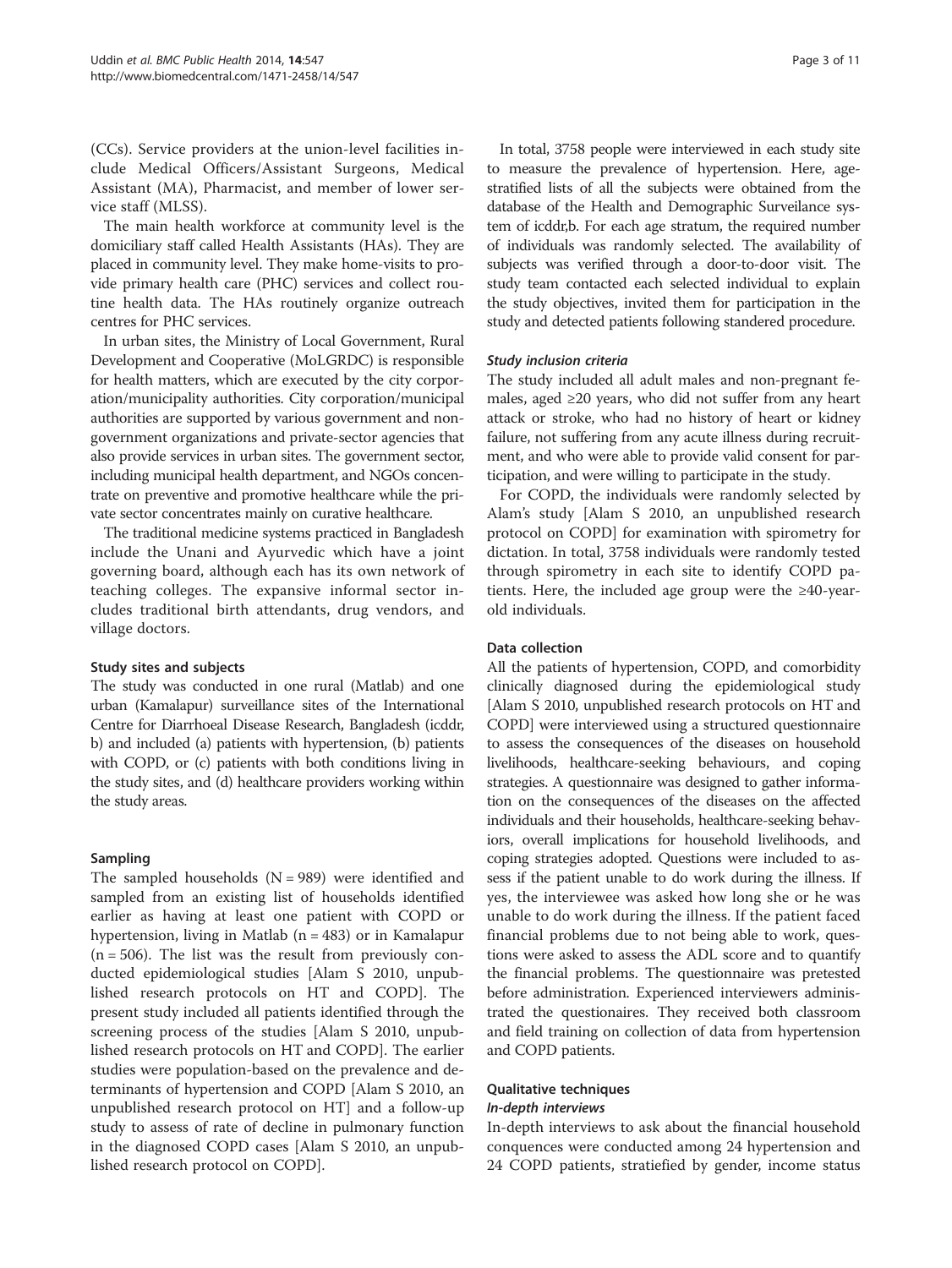(CCs). Service providers at the union-level facilities include Medical Officers/Assistant Surgeons, Medical Assistant (MA), Pharmacist, and member of lower service staff (MLSS).

The main health workforce at community level is the domiciliary staff called Health Assistants (HAs). They are placed in community level. They make home-visits to provide primary health care (PHC) services and collect routine health data. The HAs routinely organize outreach centres for PHC services.

In urban sites, the Ministry of Local Government, Rural Development and Cooperative (MoLGRDC) is responsible for health matters, which are executed by the city corporation/municipality authorities. City corporation/municipal authorities are supported by various government and nongovernment organizations and private-sector agencies that also provide services in urban sites. The government sector, including municipal health department, and NGOs concentrate on preventive and promotive healthcare while the private sector concentrates mainly on curative healthcare.

The traditional medicine systems practiced in Bangladesh include the Unani and Ayurvedic which have a joint governing board, although each has its own network of teaching colleges. The expansive informal sector includes traditional birth attendants, drug vendors, and village doctors.

#### Study sites and subjects

The study was conducted in one rural (Matlab) and one urban (Kamalapur) surveillance sites of the International Centre for Diarrhoeal Disease Research, Bangladesh (icddr, b) and included (a) patients with hypertension, (b) patients with COPD, or (c) patients with both conditions living in the study sites, and (d) healthcare providers working within the study areas.

### Sampling

The sampled households  $(N = 989)$  were identified and sampled from an existing list of households identified earlier as having at least one patient with COPD or hypertension, living in Matlab  $(n = 483)$  or in Kamalapur  $(n = 506)$ . The list was the result from previously conducted epidemiological studies [Alam S 2010, unpublished research protocols on HT and COPD]. The present study included all patients identified through the screening process of the studies [Alam S 2010, unpublished research protocols on HT and COPD]. The earlier studies were population-based on the prevalence and determinants of hypertension and COPD [Alam S 2010, an unpublished research protocol on HT] and a follow-up study to assess of rate of decline in pulmonary function in the diagnosed COPD cases [Alam S 2010, an unpublished research protocol on COPD].

In total, 3758 people were interviewed in each study site to measure the prevalence of hypertension. Here, agestratified lists of all the subjects were obtained from the database of the Health and Demographic Surveilance system of icddr,b. For each age stratum, the required number of individuals was randomly selected. The availability of subjects was verified through a door-to-door visit. The study team contacted each selected individual to explain the study objectives, invited them for participation in the study and detected patients following standered procedure.

#### Study inclusion criteria

The study included all adult males and non-pregnant females, aged ≥20 years, who did not suffer from any heart attack or stroke, who had no history of heart or kidney failure, not suffering from any acute illness during recruitment, and who were able to provide valid consent for participation, and were willing to participate in the study.

For COPD, the individuals were randomly selected by Alam's study [Alam S 2010, an unpublished research protocol on COPD] for examination with spirometry for dictation. In total, 3758 individuals were randomly tested through spirometry in each site to identify COPD patients. Here, the included age group were the ≥40-yearold individuals.

### Data collection

All the patients of hypertension, COPD, and comorbidity clinically diagnosed during the epidemiological study [Alam S 2010, unpublished research protocols on HT and COPD] were interviewed using a structured questionnaire to assess the consequences of the diseases on household livelihoods, healthcare-seeking behaviours, and coping strategies. A questionnaire was designed to gather information on the consequences of the diseases on the affected individuals and their households, healthcare-seeking behaviors, overall implications for household livelihoods, and coping strategies adopted. Questions were included to assess if the patient unable to do work during the illness. If yes, the interviewee was asked how long she or he was unable to do work during the illness. If the patient faced financial problems due to not being able to work, questions were asked to assess the ADL score and to quantify the financial problems. The questionnaire was pretested before administration. Experienced interviewers administrated the questionaires. They received both classroom and field training on collection of data from hypertension and COPD patients.

# Qualitative techniques

#### In-depth interviews

In-depth interviews to ask about the financial household conquences were conducted among 24 hypertension and 24 COPD patients, stratiefied by gender, income status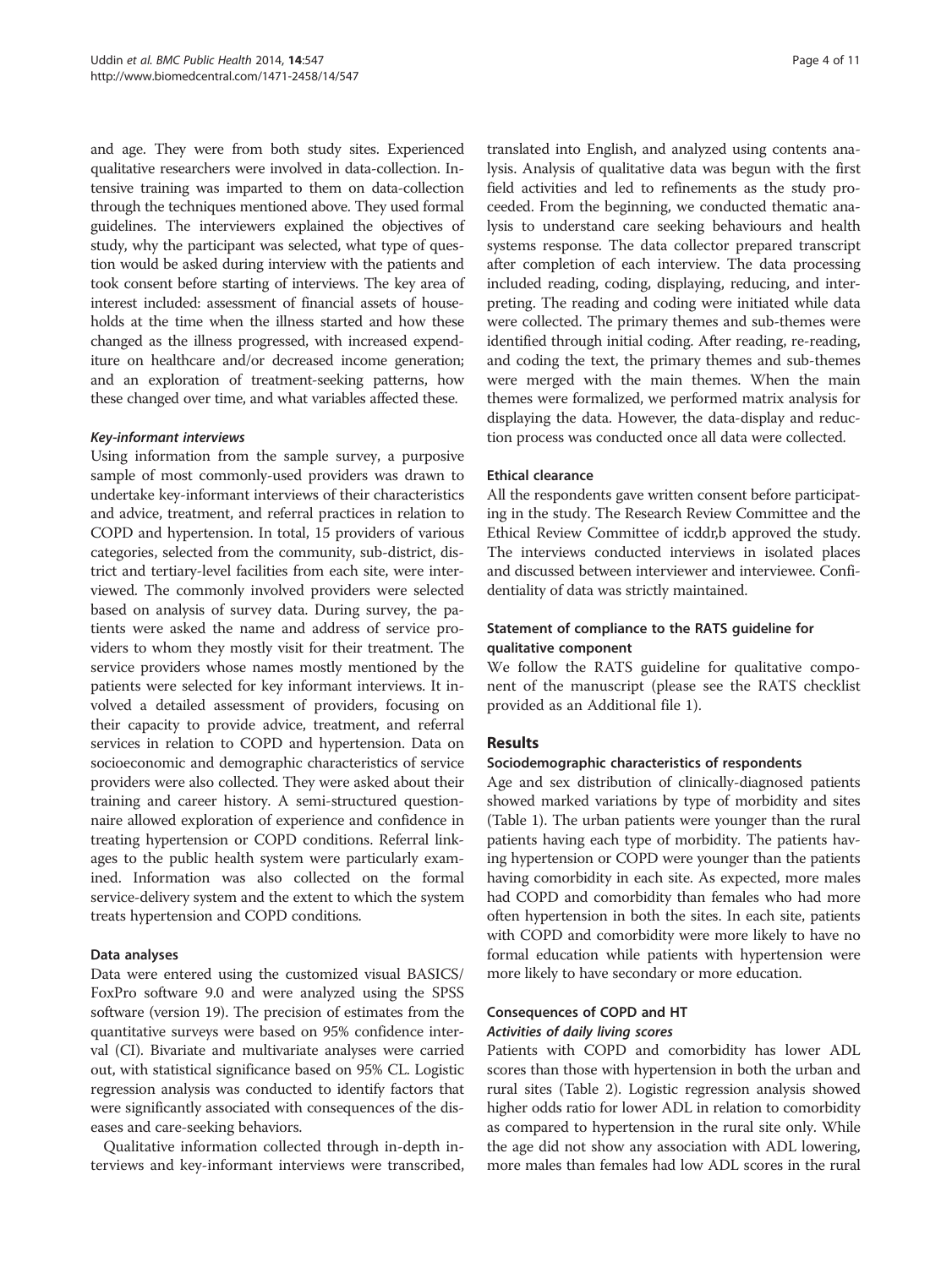and age. They were from both study sites. Experienced qualitative researchers were involved in data-collection. Intensive training was imparted to them on data-collection through the techniques mentioned above. They used formal guidelines. The interviewers explained the objectives of study, why the participant was selected, what type of question would be asked during interview with the patients and took consent before starting of interviews. The key area of interest included: assessment of financial assets of households at the time when the illness started and how these changed as the illness progressed, with increased expenditure on healthcare and/or decreased income generation; and an exploration of treatment-seeking patterns, how these changed over time, and what variables affected these.

#### Key-informant interviews

Using information from the sample survey, a purposive sample of most commonly-used providers was drawn to undertake key-informant interviews of their characteristics and advice, treatment, and referral practices in relation to COPD and hypertension. In total, 15 providers of various categories, selected from the community, sub-district, district and tertiary-level facilities from each site, were interviewed. The commonly involved providers were selected based on analysis of survey data. During survey, the patients were asked the name and address of service providers to whom they mostly visit for their treatment. The service providers whose names mostly mentioned by the patients were selected for key informant interviews. It involved a detailed assessment of providers, focusing on their capacity to provide advice, treatment, and referral services in relation to COPD and hypertension. Data on socioeconomic and demographic characteristics of service providers were also collected. They were asked about their training and career history. A semi-structured questionnaire allowed exploration of experience and confidence in treating hypertension or COPD conditions. Referral linkages to the public health system were particularly examined. Information was also collected on the formal service-delivery system and the extent to which the system treats hypertension and COPD conditions.

#### Data analyses

Data were entered using the customized visual BASICS/ FoxPro software 9.0 and were analyzed using the SPSS software (version 19). The precision of estimates from the quantitative surveys were based on 95% confidence interval (CI). Bivariate and multivariate analyses were carried out, with statistical significance based on 95% CL. Logistic regression analysis was conducted to identify factors that were significantly associated with consequences of the diseases and care-seeking behaviors.

Qualitative information collected through in-depth interviews and key-informant interviews were transcribed,

translated into English, and analyzed using contents analysis. Analysis of qualitative data was begun with the first field activities and led to refinements as the study proceeded. From the beginning, we conducted thematic analysis to understand care seeking behaviours and health systems response. The data collector prepared transcript after completion of each interview. The data processing included reading, coding, displaying, reducing, and interpreting. The reading and coding were initiated while data were collected. The primary themes and sub-themes were identified through initial coding. After reading, re-reading, and coding the text, the primary themes and sub-themes were merged with the main themes. When the main themes were formalized, we performed matrix analysis for displaying the data. However, the data-display and reduction process was conducted once all data were collected.

#### Ethical clearance

All the respondents gave written consent before participating in the study. The Research Review Committee and the Ethical Review Committee of icddr,b approved the study. The interviews conducted interviews in isolated places and discussed between interviewer and interviewee. Confidentiality of data was strictly maintained.

## Statement of compliance to the RATS guideline for qualitative component

We follow the RATS guideline for qualitative component of the manuscript (please see the RATS checklist provided as an Additional file [1\)](#page-9-0).

### Results

### Sociodemographic characteristics of respondents

Age and sex distribution of clinically-diagnosed patients showed marked variations by type of morbidity and sites (Table [1](#page-4-0)). The urban patients were younger than the rural patients having each type of morbidity. The patients having hypertension or COPD were younger than the patients having comorbidity in each site. As expected, more males had COPD and comorbidity than females who had more often hypertension in both the sites. In each site, patients with COPD and comorbidity were more likely to have no formal education while patients with hypertension were more likely to have secondary or more education.

# Consequences of COPD and HT Activities of daily living scores

Patients with COPD and comorbidity has lower ADL scores than those with hypertension in both the urban and rural sites (Table [2\)](#page-4-0). Logistic regression analysis showed higher odds ratio for lower ADL in relation to comorbidity as compared to hypertension in the rural site only. While the age did not show any association with ADL lowering, more males than females had low ADL scores in the rural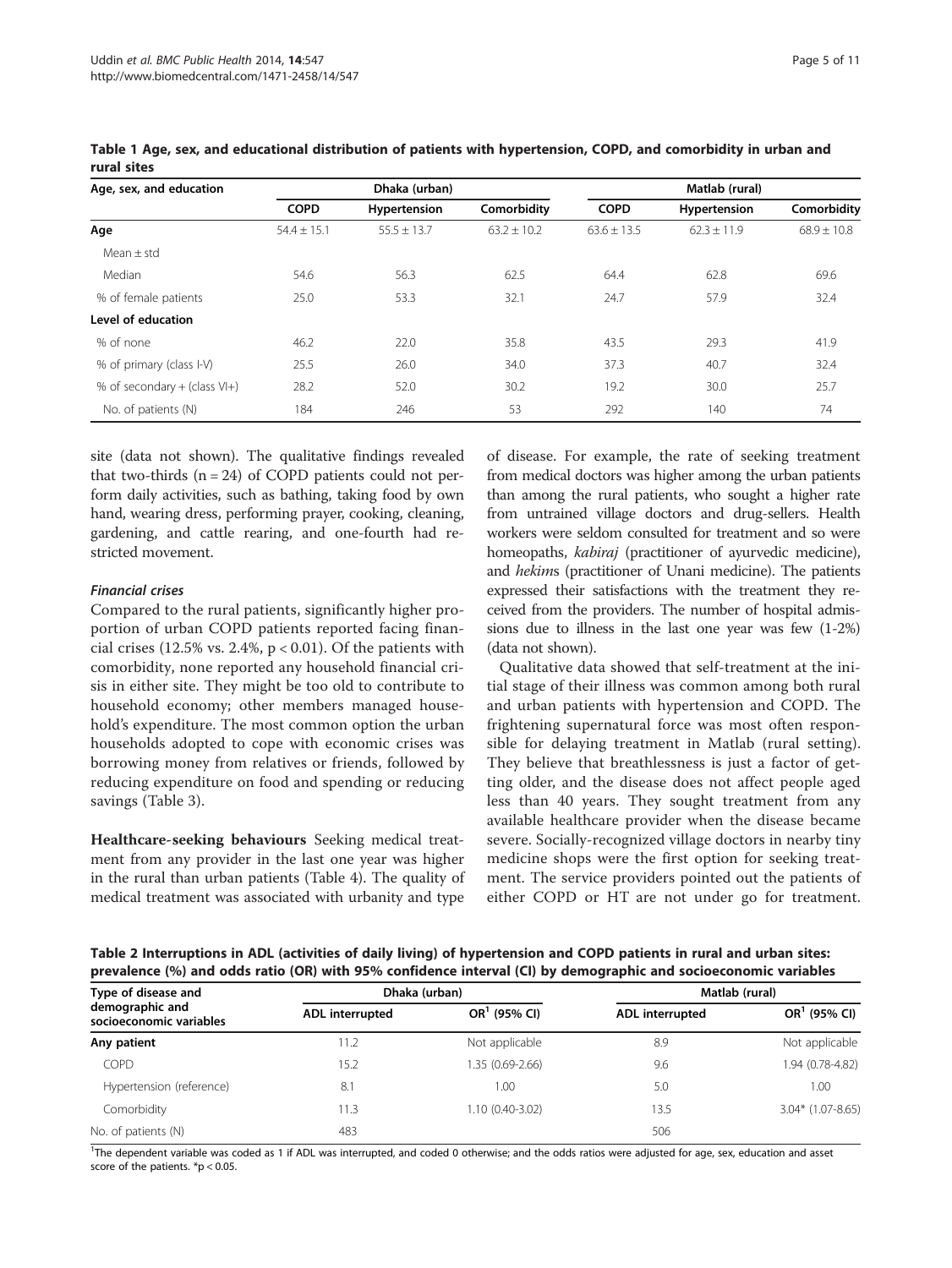| Age, sex, and education      |                 | Dhaka (urban)   |                 | Matlab (rural)  |                 |                 |  |
|------------------------------|-----------------|-----------------|-----------------|-----------------|-----------------|-----------------|--|
|                              | <b>COPD</b>     | Hypertension    | Comorbidity     | <b>COPD</b>     | Hypertension    | Comorbidity     |  |
| Age                          | $54.4 \pm 15.1$ | $55.5 \pm 13.7$ | $63.2 \pm 10.2$ | $63.6 \pm 13.5$ | $62.3 \pm 11.9$ | $68.9 \pm 10.8$ |  |
| $Mean + std$                 |                 |                 |                 |                 |                 |                 |  |
| Median                       | 54.6            | 56.3            | 62.5            | 64.4            | 62.8            | 69.6            |  |
| % of female patients         | 25.0            | 53.3            | 32.1            | 24.7            | 57.9            | 32.4            |  |
| Level of education           |                 |                 |                 |                 |                 |                 |  |
| % of none                    | 46.2            | 22.0            | 35.8            | 43.5            | 29.3            | 41.9            |  |
| % of primary (class I-V)     | 25.5            | 26.0            | 34.0            | 37.3            | 40.7            | 32.4            |  |
| % of secondary + (class VI+) | 28.2            | 52.0            | 30.2            | 19.2            | 30.0            | 25.7            |  |
| No. of patients (N)          | 184             | 246             | 53              | 292             | 140             | 74              |  |

<span id="page-4-0"></span>Table 1 Age, sex, and educational distribution of patients with hypertension, COPD, and comorbidity in urban and rural sites

site (data not shown). The qualitative findings revealed that two-thirds  $(n = 24)$  of COPD patients could not perform daily activities, such as bathing, taking food by own hand, wearing dress, performing prayer, cooking, cleaning, gardening, and cattle rearing, and one-fourth had restricted movement.

#### Financial crises

Compared to the rural patients, significantly higher proportion of urban COPD patients reported facing financial crises (12.5% vs. 2.4%,  $p < 0.01$ ). Of the patients with comorbidity, none reported any household financial crisis in either site. They might be too old to contribute to household economy; other members managed household's expenditure. The most common option the urban households adopted to cope with economic crises was borrowing money from relatives or friends, followed by reducing expenditure on food and spending or reducing savings (Table [3\)](#page-5-0).

Healthcare-seeking behaviours Seeking medical treatment from any provider in the last one year was higher in the rural than urban patients (Table [4](#page-5-0)). The quality of medical treatment was associated with urbanity and type

of disease. For example, the rate of seeking treatment from medical doctors was higher among the urban patients than among the rural patients, who sought a higher rate from untrained village doctors and drug-sellers. Health workers were seldom consulted for treatment and so were homeopaths, kabiraj (practitioner of ayurvedic medicine), and hekims (practitioner of Unani medicine). The patients expressed their satisfactions with the treatment they received from the providers. The number of hospital admissions due to illness in the last one year was few (1-2%) (data not shown).

Qualitative data showed that self-treatment at the initial stage of their illness was common among both rural and urban patients with hypertension and COPD. The frightening supernatural force was most often responsible for delaying treatment in Matlab (rural setting). They believe that breathlessness is just a factor of getting older, and the disease does not affect people aged less than 40 years. They sought treatment from any available healthcare provider when the disease became severe. Socially-recognized village doctors in nearby tiny medicine shops were the first option for seeking treatment. The service providers pointed out the patients of either COPD or HT are not under go for treatment.

Table 2 Interruptions in ADL (activities of daily living) of hypertension and COPD patients in rural and urban sites: prevalence (%) and odds ratio (OR) with 95% confidence interval (CI) by demographic and socioeconomic variables

| Type of disease and<br>demographic and<br>socioeconomic variables | Dhaka (urban)          |                  | Matlab (rural)         |                     |  |  |
|-------------------------------------------------------------------|------------------------|------------------|------------------------|---------------------|--|--|
|                                                                   | <b>ADL</b> interrupted | $OR1$ (95% CI)   | <b>ADL</b> interrupted | $OR1$ (95% CI)      |  |  |
| Any patient                                                       | 11.2                   | Not applicable   | 8.9                    | Not applicable      |  |  |
| COPD                                                              | 15.2                   | 1.35 (0.69-2.66) | 9.6                    | 1.94 (0.78-4.82)    |  |  |
| Hypertension (reference)                                          | 8.1                    | 1.00             | 5.0                    | 1.00                |  |  |
| Comorbidity                                                       | 11.3                   | 1.10 (0.40-3.02) | 13.5                   | $3.04*$ (1.07-8.65) |  |  |
| No. of patients (N)                                               | 483                    |                  | 506                    |                     |  |  |

<sup>1</sup>The dependent variable was coded as 1 if ADL was interrupted, and coded 0 otherwise; and the odds ratios were adjusted for age, sex, education and asset score of the patients. \*p < 0.05.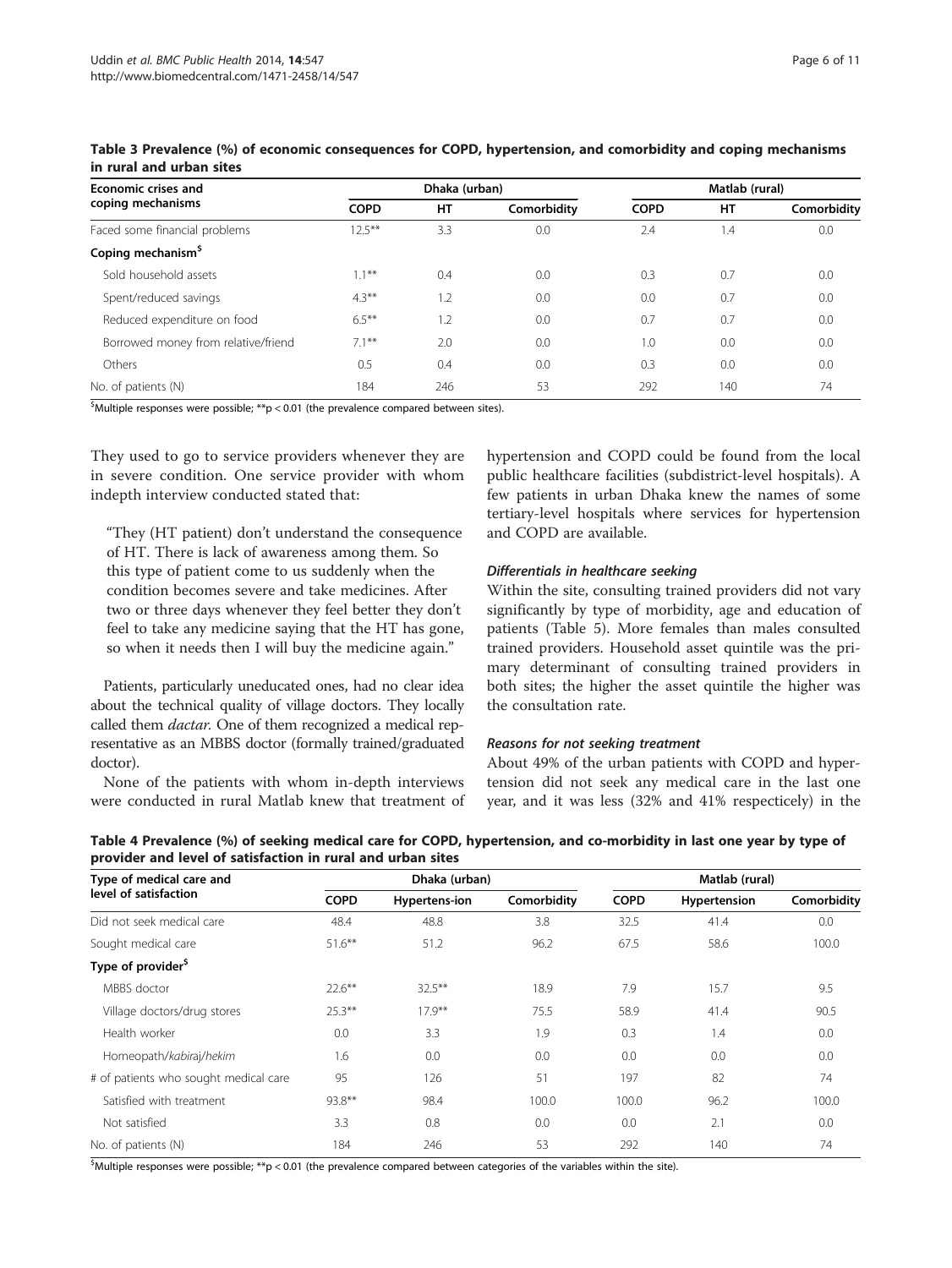| <b>Economic crises and</b>          |             | Dhaka (urban) |             | Matlab (rural) |     |             |  |
|-------------------------------------|-------------|---------------|-------------|----------------|-----|-------------|--|
| coping mechanisms                   | <b>COPD</b> | HT            | Comorbidity | <b>COPD</b>    | HT  | Comorbidity |  |
| Faced some financial problems       | $12.5***$   | 3.3           | 0.0         | 2.4            | 1.4 | 0.0         |  |
| Coping mechanism <sup>\$</sup>      |             |               |             |                |     |             |  |
| Sold household assets               | $1.1***$    | 0.4           | 0.0         | 0.3            | 0.7 | 0.0         |  |
| Spent/reduced savings               | $4.3***$    | 1.2           | 0.0         | 0.0            | 0.7 | 0.0         |  |
| Reduced expenditure on food         | $6.5***$    | 1.2           | 0.0         | 0.7            | 0.7 | 0.0         |  |
| Borrowed money from relative/friend | $7.1***$    | 2.0           | 0.0         | 1.0            | 0.0 | 0.0         |  |
| Others                              | 0.5         | 0.4           | 0.0         | 0.3            | 0.0 | 0.0         |  |
| No. of patients (N)                 | 184         | 246           | 53          | 292            | 140 | 74          |  |

#### <span id="page-5-0"></span>Table 3 Prevalence (%) of economic consequences for COPD, hypertension, and comorbidity and coping mechanisms in rural and urban sites

<sup>\$</sup>Multiple responses were possible;  $**p < 0.01$  (the prevalence compared between sites).

They used to go to service providers whenever they are in severe condition. One service provider with whom indepth interview conducted stated that:

"They (HT patient) don't understand the consequence of HT. There is lack of awareness among them. So this type of patient come to us suddenly when the condition becomes severe and take medicines. After two or three days whenever they feel better they don't feel to take any medicine saying that the HT has gone, so when it needs then I will buy the medicine again."

Patients, particularly uneducated ones, had no clear idea about the technical quality of village doctors. They locally called them *dactar*. One of them recognized a medical representative as an MBBS doctor (formally trained/graduated doctor).

None of the patients with whom in-depth interviews were conducted in rural Matlab knew that treatment of

hypertension and COPD could be found from the local public healthcare facilities (subdistrict-level hospitals). A few patients in urban Dhaka knew the names of some tertiary-level hospitals where services for hypertension and COPD are available.

#### Differentials in healthcare seeking

Within the site, consulting trained providers did not vary significantly by type of morbidity, age and education of patients (Table [5](#page-6-0)). More females than males consulted trained providers. Household asset quintile was the primary determinant of consulting trained providers in both sites; the higher the asset quintile the higher was the consultation rate.

#### Reasons for not seeking treatment

About 49% of the urban patients with COPD and hypertension did not seek any medical care in the last one year, and it was less (32% and 41% respecticely) in the

| provider and lever or sausiacuon in fural and urban sites |             |               |             |                |              |             |  |
|-----------------------------------------------------------|-------------|---------------|-------------|----------------|--------------|-------------|--|
| Type of medical care and                                  |             | Dhaka (urban) |             | Matlab (rural) |              |             |  |
| level of satisfaction                                     | <b>COPD</b> | Hypertens-ion | Comorbidity | <b>COPD</b>    | Hypertension | Comorbidity |  |
| Did not seek medical care                                 | 48.4        | 48.8          | 3.8         | 32.5           | 41.4         | 0.0         |  |
| Sought medical care                                       | $51.6***$   | 51.2          | 96.2        | 67.5           | 58.6         | 100.0       |  |
| Type of provider <sup>s</sup>                             |             |               |             |                |              |             |  |
| MBBS doctor                                               | $22.6***$   | $32.5***$     | 18.9        | 7.9            | 15.7         | 9.5         |  |
| Village doctors/drug stores                               | $25.3***$   | $17.9***$     | 75.5        | 58.9           | 41.4         | 90.5        |  |
| Health worker                                             | 0.0         | 3.3           | 1.9         | 0.3            | 1.4          | 0.0         |  |
| Homeopath/kabiraj/hekim                                   | 1.6         | 0.0           | 0.0         | 0.0            | 0.0          | 0.0         |  |
| # of patients who sought medical care                     | 95          | 126           | 51          | 197            | 82           | 74          |  |
| Satisfied with treatment                                  | 93.8**      | 98.4          | 100.0       | 100.0          | 96.2         | 100.0       |  |
| Not satisfied                                             | 3.3         | 0.8           | 0.0         | 0.0            | 2.1          | 0.0         |  |
| No. of patients (N)                                       | 184         | 246           | 53          | 292            | 140          | 74          |  |

Table 4 Prevalence (%) of seeking medical care for COPD, hypertension, and co-morbidity in last one year by type of provider and level of satisfaction in rural and urban sites

<sup>\$</sup>Multiple responses were possible; \*\*p < 0.01 (the prevalence compared between categories of the variables within the site).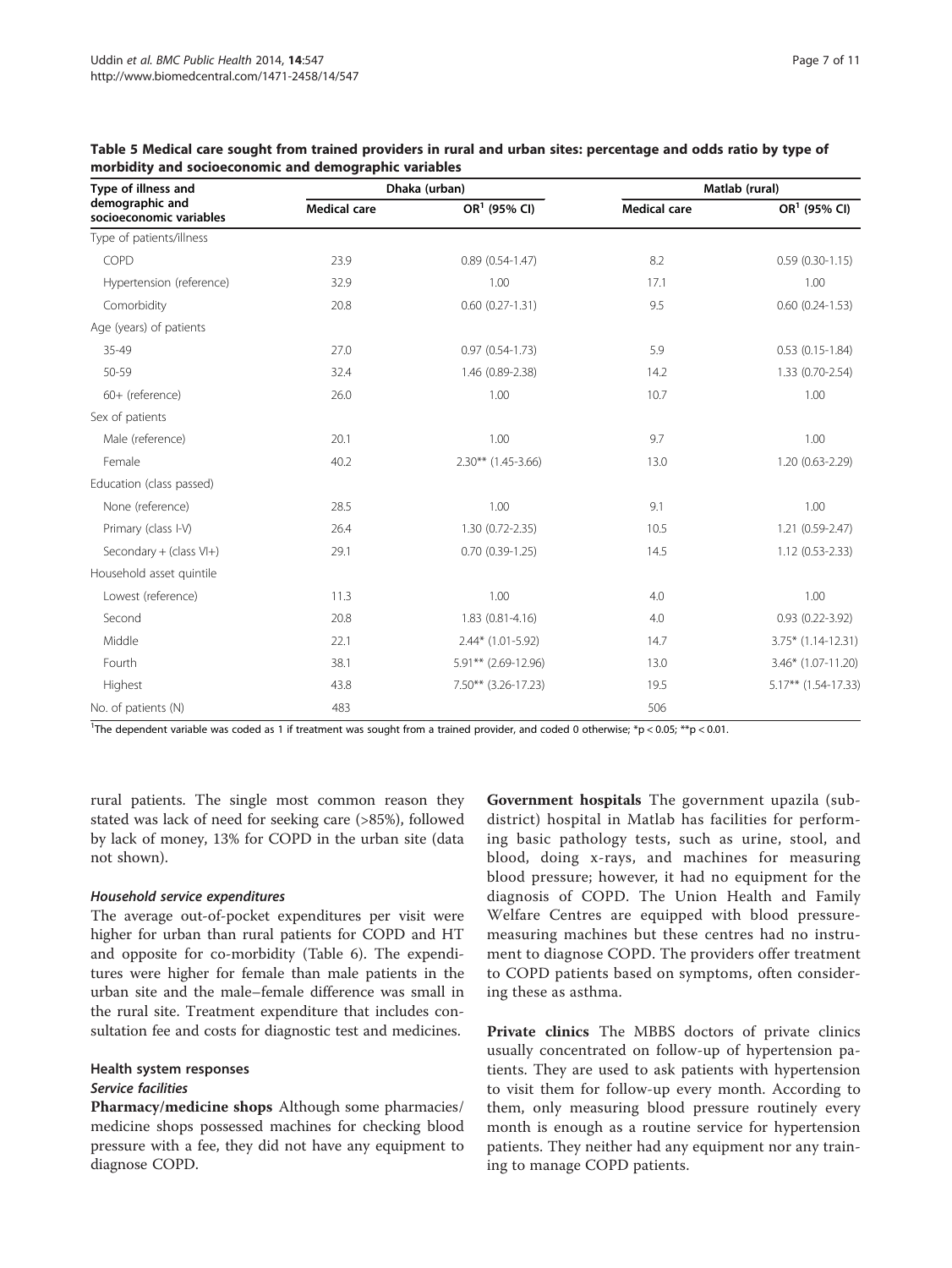| Type of illness and                        |                     | Dhaka (urban)          | Matlab (rural)      |                          |  |
|--------------------------------------------|---------------------|------------------------|---------------------|--------------------------|--|
| demographic and<br>socioeconomic variables | <b>Medical care</b> | $OR1$ (95% CI)         | <b>Medical care</b> | OR <sup>1</sup> (95% CI) |  |
| Type of patients/illness                   |                     |                        |                     |                          |  |
| COPD                                       | 23.9                | $0.89(0.54-1.47)$      | 8.2                 | $0.59(0.30-1.15)$        |  |
| Hypertension (reference)                   | 32.9                | 1.00                   | 17.1                | 1.00                     |  |
| Comorbidity                                | 20.8                | $0.60$ $(0.27 - 1.31)$ | 9.5                 | $0.60(0.24-1.53)$        |  |
| Age (years) of patients                    |                     |                        |                     |                          |  |
| 35-49                                      | 27.0                | $0.97(0.54-1.73)$      | 5.9                 | $0.53$ $(0.15 - 1.84)$   |  |
| 50-59                                      | 32.4                | 1.46 (0.89-2.38)       | 14.2                | 1.33 (0.70-2.54)         |  |
| 60+ (reference)                            | 26.0                | 1.00                   | 10.7                | 1.00                     |  |
| Sex of patients                            |                     |                        |                     |                          |  |
| Male (reference)                           | 20.1                | 1.00                   | 9.7                 | 1.00                     |  |
| Female                                     | 40.2                | $2.30***$ (1.45-3.66)  | 13.0                | 1.20 (0.63-2.29)         |  |
| Education (class passed)                   |                     |                        |                     |                          |  |
| None (reference)                           | 28.5                | 1.00                   | 9.1                 | 1.00                     |  |
| Primary (class I-V)                        | 26.4                | 1.30 (0.72-2.35)       | 10.5                | 1.21 (0.59-2.47)         |  |
| Secondary + (class VI+)                    | 29.1                | $0.70(0.39-1.25)$      | 14.5                | 1.12 (0.53-2.33)         |  |
| Household asset quintile                   |                     |                        |                     |                          |  |
| Lowest (reference)                         | 11.3                | 1.00                   | 4.0                 | 1.00                     |  |
| Second                                     | 20.8                | $1.83(0.81 - 4.16)$    | 4.0                 | $0.93(0.22 - 3.92)$      |  |
| Middle                                     | 22.1                | 2.44* (1.01-5.92)      | 14.7                | $3.75*$ (1.14-12.31)     |  |
| Fourth                                     | 38.1                | 5.91** (2.69-12.96)    | 13.0                | 3.46* (1.07-11.20)       |  |
| Highest                                    | 43.8                | 7.50** (3.26-17.23)    | 19.5                | $5.17***$ (1.54-17.33)   |  |
| No. of patients (N)                        | 483                 |                        | 506                 |                          |  |

<span id="page-6-0"></span>Table 5 Medical care sought from trained providers in rural and urban sites: percentage and odds ratio by type of morbidity and socioeconomic and demographic variables

<sup>1</sup>The dependent variable was coded as 1 if treatment was sought from a trained provider, and coded 0 otherwise;  $*p < 0.05$ ;  $**p < 0.01$ .

rural patients. The single most common reason they stated was lack of need for seeking care (>85%), followed by lack of money, 13% for COPD in the urban site (data not shown).

#### Household service expenditures

The average out-of-pocket expenditures per visit were higher for urban than rural patients for COPD and HT and opposite for co-morbidity (Table [6](#page-7-0)). The expenditures were higher for female than male patients in the urban site and the male–female difference was small in the rural site. Treatment expenditure that includes consultation fee and costs for diagnostic test and medicines.

# Health system responses

# Service facilities

Pharmacy/medicine shops Although some pharmacies/ medicine shops possessed machines for checking blood pressure with a fee, they did not have any equipment to diagnose COPD.

Government hospitals The government upazila (subdistrict) hospital in Matlab has facilities for performing basic pathology tests, such as urine, stool, and blood, doing x-rays, and machines for measuring blood pressure; however, it had no equipment for the diagnosis of COPD. The Union Health and Family Welfare Centres are equipped with blood pressuremeasuring machines but these centres had no instrument to diagnose COPD. The providers offer treatment to COPD patients based on symptoms, often considering these as asthma.

Private clinics The MBBS doctors of private clinics usually concentrated on follow-up of hypertension patients. They are used to ask patients with hypertension to visit them for follow-up every month. According to them, only measuring blood pressure routinely every month is enough as a routine service for hypertension patients. They neither had any equipment nor any training to manage COPD patients.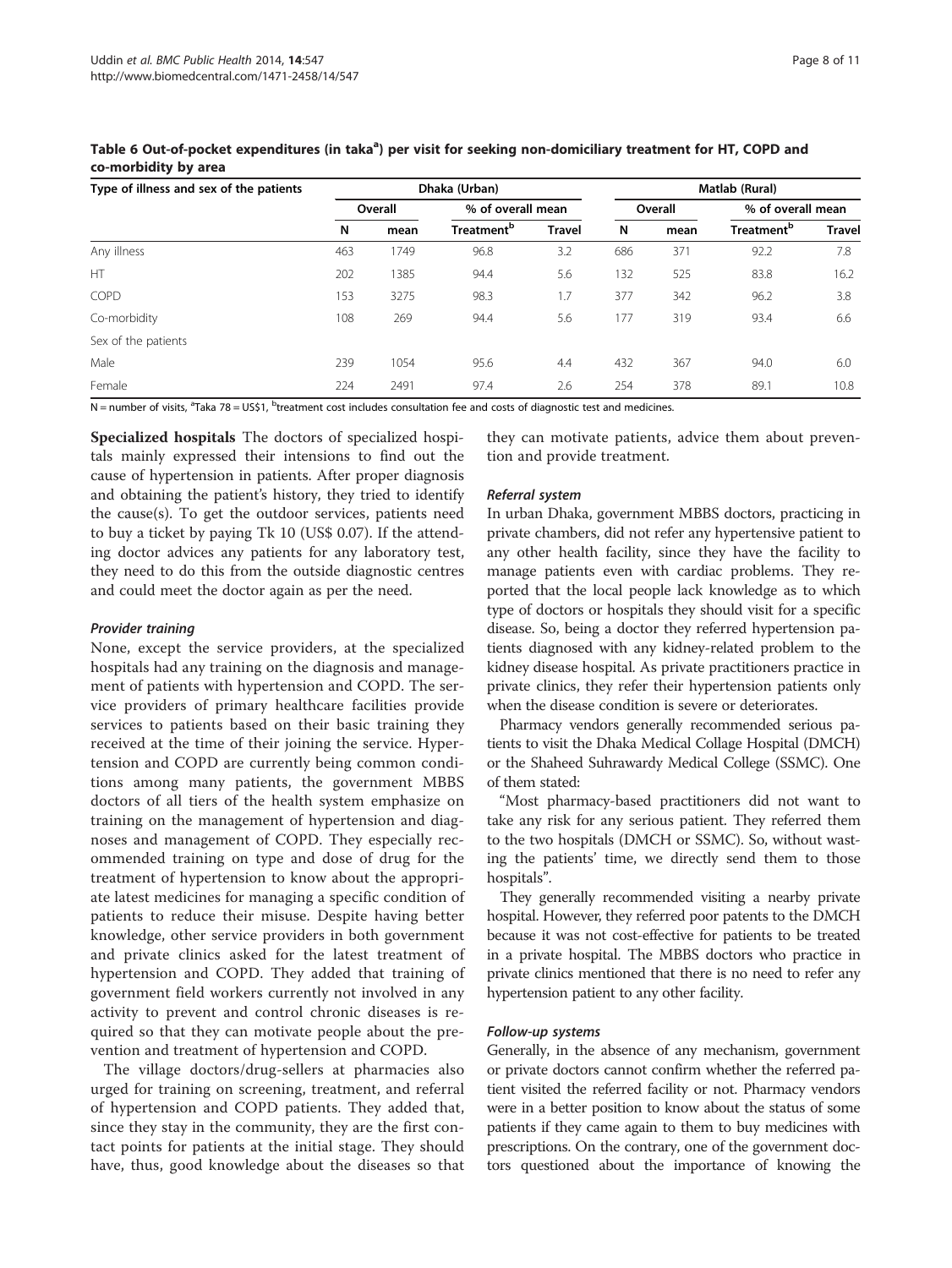| Type of illness and sex of the patients | Dhaka (Urban) |      |                        |               | Matlab (Rural) |      |                        |               |
|-----------------------------------------|---------------|------|------------------------|---------------|----------------|------|------------------------|---------------|
|                                         | Overall       |      | % of overall mean      |               | Overall        |      | % of overall mean      |               |
|                                         | N             | mean | Treatment <sup>b</sup> | <b>Travel</b> | N              | mean | Treatment <sup>b</sup> | <b>Travel</b> |
| Any illness                             | 463           | 1749 | 96.8                   | 3.2           | 686            | 371  | 92.2                   | 7.8           |
| HT                                      | 202           | 1385 | 94.4                   | 5.6           | 132            | 525  | 83.8                   | 16.2          |
| COPD                                    | 153           | 3275 | 98.3                   | 1.7           | 377            | 342  | 96.2                   | 3.8           |
| Co-morbidity                            | 108           | 269  | 94.4                   | 5.6           | 177            | 319  | 93.4                   | 6.6           |
| Sex of the patients                     |               |      |                        |               |                |      |                        |               |
| Male                                    | 239           | 1054 | 95.6                   | 4.4           | 432            | 367  | 94.0                   | 6.0           |
| Female                                  | 224           | 2491 | 97.4                   | 2.6           | 254            | 378  | 89.1                   | 10.8          |

<span id="page-7-0"></span>Table 6 Out-of-pocket expenditures (in taka<sup>a</sup>) per visit for seeking non-domiciliary treatment for HT, COPD and co-morbidity by area

N = number of visits, <sup>a</sup>Taka 78 = US\$1, <sup>b</sup>treatment cost includes consultation fee and costs of diagnostic test and medicines.

Specialized hospitals The doctors of specialized hospitals mainly expressed their intensions to find out the cause of hypertension in patients. After proper diagnosis and obtaining the patient's history, they tried to identify the cause(s). To get the outdoor services, patients need to buy a ticket by paying Tk 10 (US\$ 0.07). If the attending doctor advices any patients for any laboratory test, they need to do this from the outside diagnostic centres and could meet the doctor again as per the need.

#### Provider training

None, except the service providers, at the specialized hospitals had any training on the diagnosis and management of patients with hypertension and COPD. The service providers of primary healthcare facilities provide services to patients based on their basic training they received at the time of their joining the service. Hypertension and COPD are currently being common conditions among many patients, the government MBBS doctors of all tiers of the health system emphasize on training on the management of hypertension and diagnoses and management of COPD. They especially recommended training on type and dose of drug for the treatment of hypertension to know about the appropriate latest medicines for managing a specific condition of patients to reduce their misuse. Despite having better knowledge, other service providers in both government and private clinics asked for the latest treatment of hypertension and COPD. They added that training of government field workers currently not involved in any activity to prevent and control chronic diseases is required so that they can motivate people about the prevention and treatment of hypertension and COPD.

The village doctors/drug-sellers at pharmacies also urged for training on screening, treatment, and referral of hypertension and COPD patients. They added that, since they stay in the community, they are the first contact points for patients at the initial stage. They should have, thus, good knowledge about the diseases so that they can motivate patients, advice them about prevention and provide treatment.

#### Referral system

In urban Dhaka, government MBBS doctors, practicing in private chambers, did not refer any hypertensive patient to any other health facility, since they have the facility to manage patients even with cardiac problems. They reported that the local people lack knowledge as to which type of doctors or hospitals they should visit for a specific disease. So, being a doctor they referred hypertension patients diagnosed with any kidney-related problem to the kidney disease hospital. As private practitioners practice in private clinics, they refer their hypertension patients only when the disease condition is severe or deteriorates.

Pharmacy vendors generally recommended serious patients to visit the Dhaka Medical Collage Hospital (DMCH) or the Shaheed Suhrawardy Medical College (SSMC). One of them stated:

"Most pharmacy-based practitioners did not want to take any risk for any serious patient. They referred them to the two hospitals (DMCH or SSMC). So, without wasting the patients' time, we directly send them to those hospitals".

They generally recommended visiting a nearby private hospital. However, they referred poor patents to the DMCH because it was not cost-effective for patients to be treated in a private hospital. The MBBS doctors who practice in private clinics mentioned that there is no need to refer any hypertension patient to any other facility.

### Follow-up systems

Generally, in the absence of any mechanism, government or private doctors cannot confirm whether the referred patient visited the referred facility or not. Pharmacy vendors were in a better position to know about the status of some patients if they came again to them to buy medicines with prescriptions. On the contrary, one of the government doctors questioned about the importance of knowing the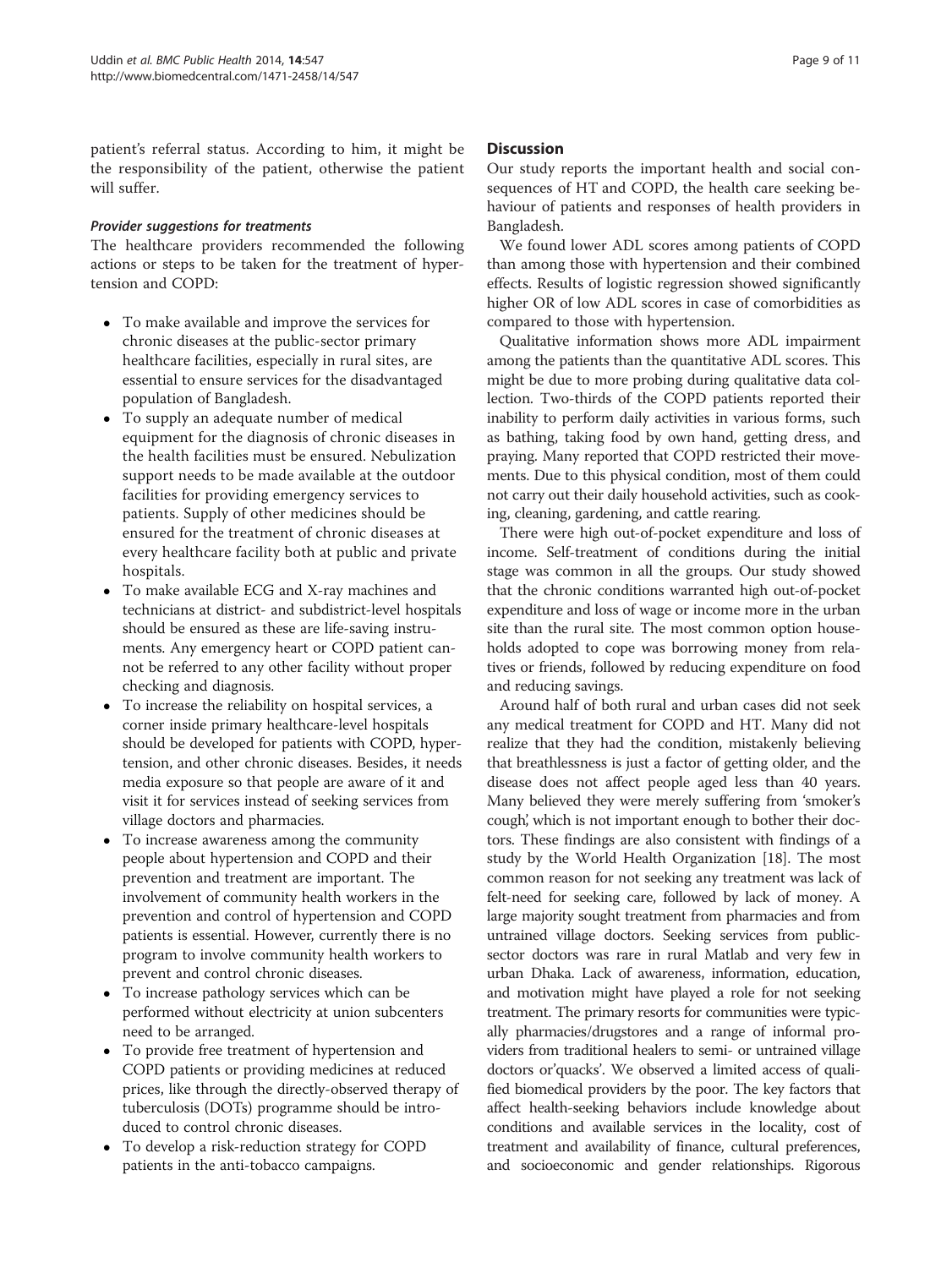patient's referral status. According to him, it might be the responsibility of the patient, otherwise the patient will suffer.

# Provider suggestions for treatments

The healthcare providers recommended the following actions or steps to be taken for the treatment of hypertension and COPD:

- To make available and improve the services for chronic diseases at the public-sector primary healthcare facilities, especially in rural sites, are essential to ensure services for the disadvantaged population of Bangladesh.
- To supply an adequate number of medical equipment for the diagnosis of chronic diseases in the health facilities must be ensured. Nebulization support needs to be made available at the outdoor facilities for providing emergency services to patients. Supply of other medicines should be ensured for the treatment of chronic diseases at every healthcare facility both at public and private hospitals.
- To make available ECG and X-ray machines and technicians at district- and subdistrict-level hospitals should be ensured as these are life-saving instruments. Any emergency heart or COPD patient cannot be referred to any other facility without proper checking and diagnosis.
- To increase the reliability on hospital services, a corner inside primary healthcare-level hospitals should be developed for patients with COPD, hypertension, and other chronic diseases. Besides, it needs media exposure so that people are aware of it and visit it for services instead of seeking services from village doctors and pharmacies.
- To increase awareness among the community people about hypertension and COPD and their prevention and treatment are important. The involvement of community health workers in the prevention and control of hypertension and COPD patients is essential. However, currently there is no program to involve community health workers to prevent and control chronic diseases.
- To increase pathology services which can be performed without electricity at union subcenters need to be arranged.
- To provide free treatment of hypertension and COPD patients or providing medicines at reduced prices, like through the directly-observed therapy of tuberculosis (DOTs) programme should be introduced to control chronic diseases.
- To develop a risk-reduction strategy for COPD patients in the anti-tobacco campaigns.

# **Discussion**

Our study reports the important health and social consequences of HT and COPD, the health care seeking behaviour of patients and responses of health providers in Bangladesh.

We found lower ADL scores among patients of COPD than among those with hypertension and their combined effects. Results of logistic regression showed significantly higher OR of low ADL scores in case of comorbidities as compared to those with hypertension.

Qualitative information shows more ADL impairment among the patients than the quantitative ADL scores. This might be due to more probing during qualitative data collection. Two-thirds of the COPD patients reported their inability to perform daily activities in various forms, such as bathing, taking food by own hand, getting dress, and praying. Many reported that COPD restricted their movements. Due to this physical condition, most of them could not carry out their daily household activities, such as cooking, cleaning, gardening, and cattle rearing.

There were high out-of-pocket expenditure and loss of income. Self-treatment of conditions during the initial stage was common in all the groups. Our study showed that the chronic conditions warranted high out-of-pocket expenditure and loss of wage or income more in the urban site than the rural site. The most common option households adopted to cope was borrowing money from relatives or friends, followed by reducing expenditure on food and reducing savings.

Around half of both rural and urban cases did not seek any medical treatment for COPD and HT. Many did not realize that they had the condition, mistakenly believing that breathlessness is just a factor of getting older, and the disease does not affect people aged less than 40 years. Many believed they were merely suffering from 'smoker's cough', which is not important enough to bother their doctors. These findings are also consistent with findings of a study by the World Health Organization [\[18\]](#page-10-0). The most common reason for not seeking any treatment was lack of felt-need for seeking care, followed by lack of money. A large majority sought treatment from pharmacies and from untrained village doctors. Seeking services from publicsector doctors was rare in rural Matlab and very few in urban Dhaka. Lack of awareness, information, education, and motivation might have played a role for not seeking treatment. The primary resorts for communities were typically pharmacies/drugstores and a range of informal providers from traditional healers to semi- or untrained village doctors or'quacks'. We observed a limited access of qualified biomedical providers by the poor. The key factors that affect health-seeking behaviors include knowledge about conditions and available services in the locality, cost of treatment and availability of finance, cultural preferences, and socioeconomic and gender relationships. Rigorous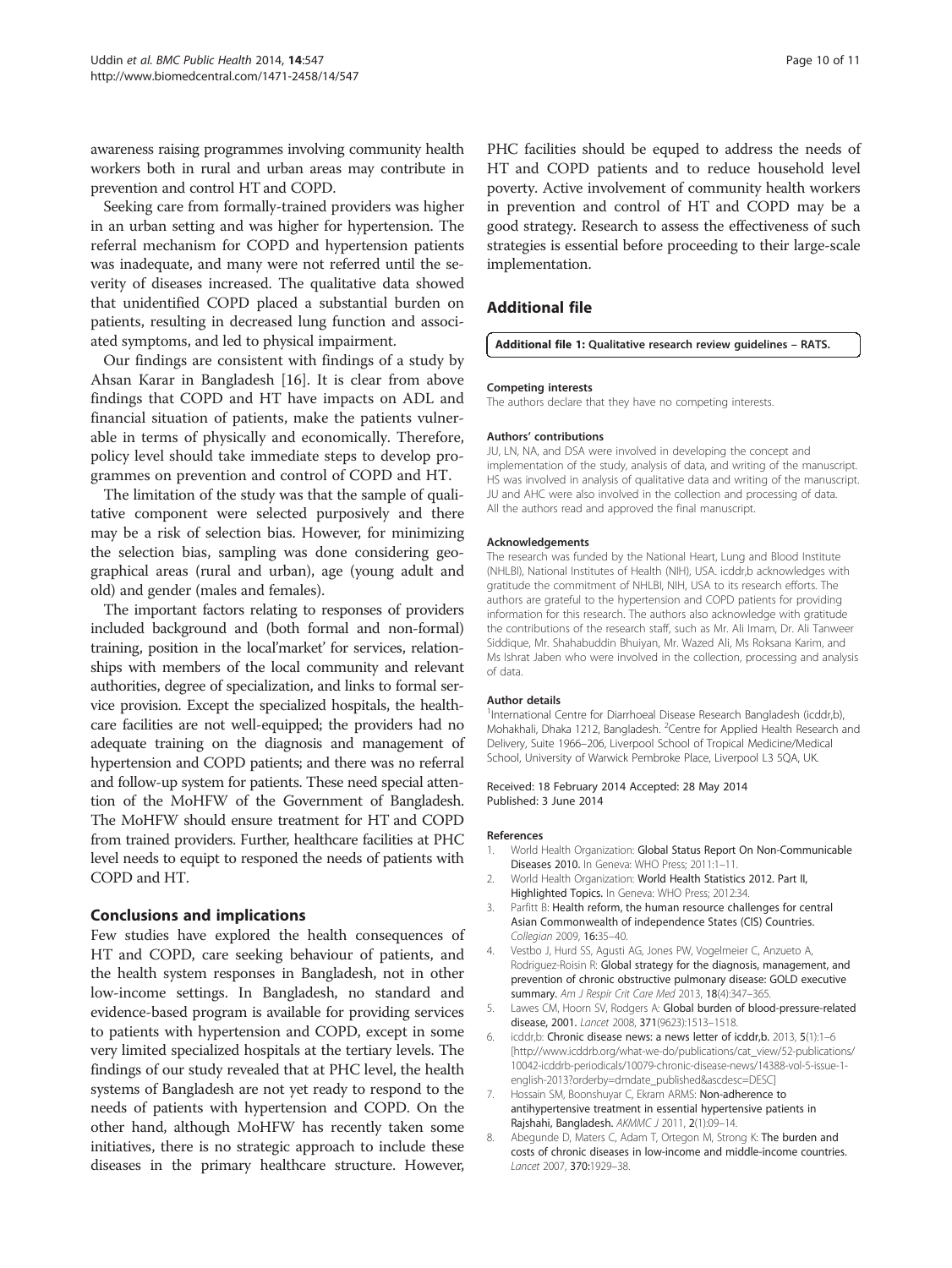<span id="page-9-0"></span>awareness raising programmes involving community health workers both in rural and urban areas may contribute in prevention and control HT and COPD.

Seeking care from formally-trained providers was higher in an urban setting and was higher for hypertension. The referral mechanism for COPD and hypertension patients was inadequate, and many were not referred until the severity of diseases increased. The qualitative data showed that unidentified COPD placed a substantial burden on patients, resulting in decreased lung function and associated symptoms, and led to physical impairment.

Our findings are consistent with findings of a study by Ahsan Karar in Bangladesh [\[16\]](#page-10-0). It is clear from above findings that COPD and HT have impacts on ADL and financial situation of patients, make the patients vulnerable in terms of physically and economically. Therefore, policy level should take immediate steps to develop programmes on prevention and control of COPD and HT.

The limitation of the study was that the sample of qualitative component were selected purposively and there may be a risk of selection bias. However, for minimizing the selection bias, sampling was done considering geographical areas (rural and urban), age (young adult and old) and gender (males and females).

The important factors relating to responses of providers included background and (both formal and non-formal) training, position in the local'market' for services, relationships with members of the local community and relevant authorities, degree of specialization, and links to formal service provision. Except the specialized hospitals, the healthcare facilities are not well-equipped; the providers had no adequate training on the diagnosis and management of hypertension and COPD patients; and there was no referral and follow-up system for patients. These need special attention of the MoHFW of the Government of Bangladesh. The MoHFW should ensure treatment for HT and COPD from trained providers. Further, healthcare facilities at PHC level needs to equipt to responed the needs of patients with COPD and HT.

### Conclusions and implications

Few studies have explored the health consequences of HT and COPD, care seeking behaviour of patients, and the health system responses in Bangladesh, not in other low-income settings. In Bangladesh, no standard and evidence-based program is available for providing services to patients with hypertension and COPD, except in some very limited specialized hospitals at the tertiary levels. The findings of our study revealed that at PHC level, the health systems of Bangladesh are not yet ready to respond to the needs of patients with hypertension and COPD. On the other hand, although MoHFW has recently taken some initiatives, there is no strategic approach to include these diseases in the primary healthcare structure. However, PHC facilities should be equped to address the needs of HT and COPD patients and to reduce household level poverty. Active involvement of community health workers in prevention and control of HT and COPD may be a good strategy. Research to assess the effectiveness of such strategies is essential before proceeding to their large-scale implementation.

## Additional file

#### [Additional file 1:](http://www.biomedcentral.com/content/supplementary/1471-2458-14-547-S1.docx) Qualitative research review guidelines – RATS.

#### Competing interests

The authors declare that they have no competing interests.

#### Authors' contributions

JU, LN, NA, and DSA were involved in developing the concept and implementation of the study, analysis of data, and writing of the manuscript. HS was involved in analysis of qualitative data and writing of the manuscript. JU and AHC were also involved in the collection and processing of data. All the authors read and approved the final manuscript.

#### Acknowledgements

The research was funded by the National Heart, Lung and Blood Institute (NHLBI), National Institutes of Health (NIH), USA. icddr,b acknowledges with gratitude the commitment of NHLBI, NIH, USA to its research efforts. The authors are grateful to the hypertension and COPD patients for providing information for this research. The authors also acknowledge with gratitude the contributions of the research staff, such as Mr. Ali Imam, Dr. Ali Tanweer Siddique, Mr. Shahabuddin Bhuiyan, Mr. Wazed Ali, Ms Roksana Karim, and Ms Ishrat Jaben who were involved in the collection, processing and analysis of data.

#### Author details

<sup>1</sup>International Centre for Diarrhoeal Disease Research Bangladesh (icddr,b), Mohakhali, Dhaka 1212, Bangladesh. <sup>2</sup>Centre for Applied Health Research and Delivery, Suite 1966–206, Liverpool School of Tropical Medicine/Medical School, University of Warwick Pembroke Place, Liverpool L3 5QA, UK.

#### Received: 18 February 2014 Accepted: 28 May 2014 Published: 3 June 2014

#### References

- 1. World Health Organization: Global Status Report On Non-Communicable Diseases 2010. In Geneva: WHO Press; 2011:1–11.
- 2. World Health Organization: World Health Statistics 2012. Part II, Highlighted Topics. In Geneva: WHO Press; 2012:34.
- 3. Parfitt B: Health reform, the human resource challenges for central Asian Commonwealth of independence States (CIS) Countries. Collegian 2009, 16:35–40.
- 4. Vestbo J, Hurd SS, Agusti AG, Jones PW, Vogelmeier C, Anzueto A, Rodriguez-Roisin R: Global strategy for the diagnosis, management, and prevention of chronic obstructive pulmonary disease: GOLD executive summary. Am J Respir Crit Care Med 2013, 18(4):347-365.
- 5. Lawes CM, Hoorn SV, Rodgers A: Global burden of blood-pressure-related disease, 2001. Lancet 2008, 371(9623):1513–1518.
- 6. icddr,b: Chronic disease news: a news letter of icddr,b. 2013, 5(1):1–6 [[http://www.icddrb.org/what-we-do/publications/cat\\_view/52-publications/](http://www.icddrb.org/what-we-do/publications/cat_view/52-publications/10042-icddrb-periodicals/10079-chronic-disease-news/14388-vol-5-issue-1-english-2013?orderby=dmdate_published&ascdesc=DESC) [10042-icddrb-periodicals/10079-chronic-disease-news/14388-vol-5-issue-1](http://www.icddrb.org/what-we-do/publications/cat_view/52-publications/10042-icddrb-periodicals/10079-chronic-disease-news/14388-vol-5-issue-1-english-2013?orderby=dmdate_published&ascdesc=DESC) [english-2013?orderby=dmdate\\_published&ascdesc=DESC\]](http://www.icddrb.org/what-we-do/publications/cat_view/52-publications/10042-icddrb-periodicals/10079-chronic-disease-news/14388-vol-5-issue-1-english-2013?orderby=dmdate_published&ascdesc=DESC)
- 7. Hossain SM, Boonshuyar C, Ekram ARMS: Non-adherence to antihypertensive treatment in essential hypertensive patients in Rajshahi, Bangladesh. AKMMC J 2011, 2(1):09–14.
- 8. Abegunde D, Maters C, Adam T, Ortegon M, Strong K: The burden and costs of chronic diseases in low-income and middle-income countries. Lancet 2007, 370:1929–38.